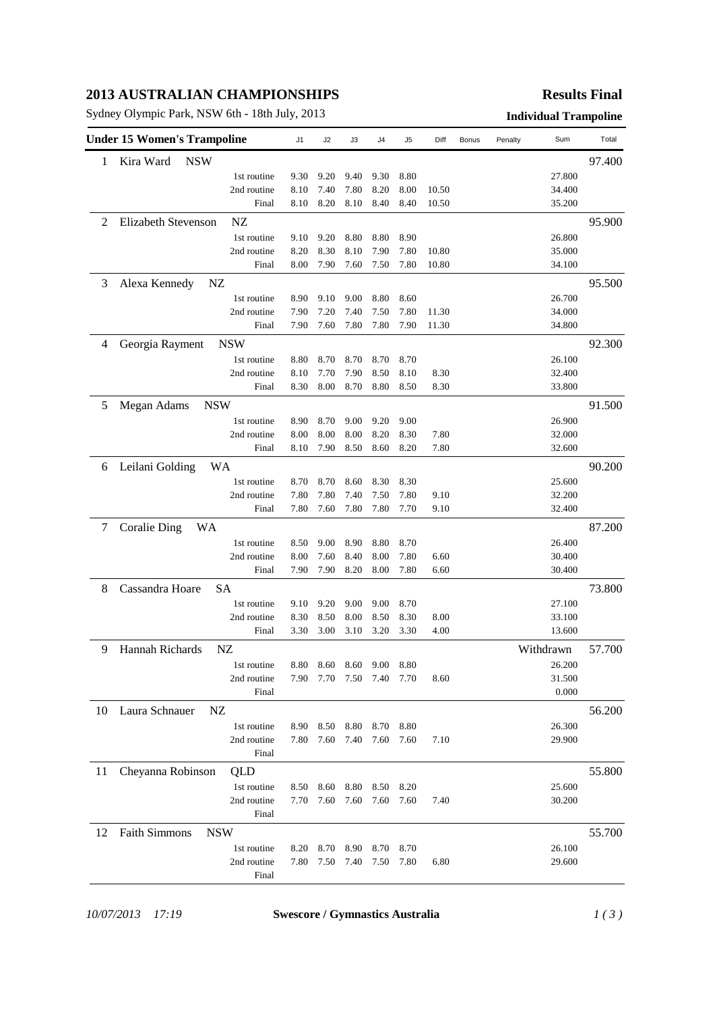# **2013 AUSTRALIAN CHAMPIONSHIPS**

Sydney Olympic Park, NSW 6th - 18th July, 2013 **Individual Trampoline**

#### **Results Final**

|    | <b>Under 15 Women's Trampoline</b> |                            | J1           | J2           | J3           | J4           | J5           | Diff  | Bonus | Penalty | Sum              | Total  |
|----|------------------------------------|----------------------------|--------------|--------------|--------------|--------------|--------------|-------|-------|---------|------------------|--------|
| 1  | <b>NSW</b><br>Kira Ward            |                            |              |              |              |              |              |       |       |         |                  | 97.400 |
|    |                                    | 1st routine                | 9.30         | 9.20         | 9.40         | 9.30         | 8.80         |       |       |         | 27.800           |        |
|    |                                    | 2nd routine                | 8.10         | 7.40         | 7.80         | 8.20         | 8.00         | 10.50 |       |         | 34.400           |        |
|    |                                    | Final                      | 8.10         | 8.20         | 8.10         | 8.40         | 8.40         | 10.50 |       |         | 35.200           |        |
| 2  | <b>Elizabeth Stevenson</b>         | NZ                         |              |              |              |              |              |       |       |         |                  | 95.900 |
|    |                                    | 1st routine                | 9.10         | 9.20         | 8.80         | 8.80         | 8.90         |       |       |         | 26.800           |        |
|    |                                    | 2nd routine                | 8.20         | 8.30         | 8.10         | 7.90         | 7.80         | 10.80 |       |         | 35.000           |        |
|    |                                    | Final                      | 8.00         | 7.90         | 7.60         | 7.50         | 7.80         | 10.80 |       |         | 34.100           |        |
| 3  | Alexa Kennedy<br>NZ                |                            |              |              |              |              |              |       |       |         |                  | 95.500 |
|    |                                    | 1st routine                | 8.90         | 9.10         | 9.00         | 8.80         | 8.60         |       |       |         | 26.700           |        |
|    |                                    | 2nd routine                | 7.90         | 7.20         | 7.40         | 7.50         | 7.80         | 11.30 |       |         | 34.000           |        |
|    |                                    | Final                      | 7.90         | 7.60         | 7.80         | 7.80         | 7.90         | 11.30 |       |         | 34.800           |        |
| 4  | Georgia Rayment                    | <b>NSW</b>                 |              |              |              |              |              |       |       |         |                  | 92.300 |
|    |                                    | 1st routine                | 8.80         | 8.70         | 8.70         | 8.70         | 8.70         |       |       |         | 26.100           |        |
|    |                                    | 2nd routine                | 8.10         | 7.70         | 7.90         | 8.50         | 8.10         | 8.30  |       |         | 32.400           |        |
|    |                                    | Final                      | 8.30         | 8.00         | 8.70         | 8.80         | 8.50         | 8.30  |       |         | 33.800           |        |
| 5  | <b>NSW</b>                         |                            |              |              |              |              |              |       |       |         |                  | 91.500 |
|    | Megan Adams                        |                            |              |              |              |              |              |       |       |         |                  |        |
|    |                                    | 1st routine<br>2nd routine | 8.90<br>8.00 | 8.70<br>8.00 | 9.00<br>8.00 | 9.20<br>8.20 | 9.00<br>8.30 | 7.80  |       |         | 26.900<br>32.000 |        |
|    |                                    | Final                      | 8.10         | 7.90         | 8.50         | 8.60         | 8.20         | 7.80  |       |         | 32.600           |        |
|    |                                    |                            |              |              |              |              |              |       |       |         |                  |        |
| 6  | Leilani Golding<br>WA              |                            |              |              |              |              |              |       |       |         |                  | 90.200 |
|    |                                    | 1st routine                | 8.70         | 8.70         | 8.60         | 8.30         | 8.30         |       |       |         | 25.600           |        |
|    |                                    | 2nd routine                | 7.80         | 7.80         | 7.40         | 7.50         | 7.80         | 9.10  |       |         | 32.200           |        |
|    |                                    | Final                      | 7.80         | 7.60         | 7.80         | 7.80         | 7.70         | 9.10  |       |         | 32.400           |        |
| 7  | <b>Coralie Ding</b><br>WA          |                            |              |              |              |              |              |       |       |         |                  | 87.200 |
|    |                                    | 1st routine                | 8.50         | 9.00         | 8.90         | 8.80         | 8.70         |       |       |         | 26.400           |        |
|    |                                    | 2nd routine                | 8.00         | 7.60         | 8.40         | 8.00         | 7.80         | 6.60  |       |         | 30.400           |        |
|    |                                    | Final                      | 7.90         | 7.90         | 8.20         | 8.00         | 7.80         | 6.60  |       |         | 30.400           |        |
| 8  | Cassandra Hoare<br><b>SA</b>       |                            |              |              |              |              |              |       |       |         |                  | 73.800 |
|    |                                    | 1st routine                | 9.10         | 9.20         | 9.00         | 9.00         | 8.70         |       |       |         | 27.100           |        |
|    |                                    | 2nd routine                | 8.30         | 8.50         | 8.00         | 8.50         | 8.30         | 8.00  |       |         | 33.100           |        |
|    |                                    | Final                      | 3.30         | 3.00         | 3.10         | 3.20         | 3.30         | 4.00  |       |         | 13.600           |        |
| 9  | Hannah Richards                    | NZ                         |              |              |              |              |              |       |       |         | Withdrawn        | 57.700 |
|    |                                    | 1st routine                | 8.80         | 8.60         |              | 8.60 9.00    | 8.80         |       |       |         | 26.200           |        |
|    |                                    | 2nd routine                | 7.90         | 7.70         | 7.50 7.40    |              | 7.70         | 8.60  |       |         | 31.500           |        |
|    |                                    | Final                      |              |              |              |              |              |       |       |         | 0.000            |        |
| 10 | Laura Schnauer<br>NZ               |                            |              |              |              |              |              |       |       |         |                  | 56.200 |
|    |                                    | 1st routine                | 8.90         | 8.50         | 8.80         | 8.70         | 8.80         |       |       |         | 26.300           |        |
|    |                                    | 2nd routine                | 7.80         | 7.60         | 7.40         | 7.60         | 7.60         | 7.10  |       |         | 29.900           |        |
|    |                                    | Final                      |              |              |              |              |              |       |       |         |                  |        |
| 11 | Cheyanna Robinson                  | QLD                        |              |              |              |              |              |       |       |         |                  | 55.800 |
|    |                                    | 1st routine                | 8.50         | 8.60         | 8.80         | 8.50         | 8.20         |       |       |         | 25.600           |        |
|    |                                    | 2nd routine                | 7.70         | 7.60         | 7.60         | 7.60         | 7.60         | 7.40  |       |         | 30.200           |        |
|    |                                    | Final                      |              |              |              |              |              |       |       |         |                  |        |
| 12 | <b>Faith Simmons</b><br><b>NSW</b> |                            |              |              |              |              |              |       |       |         |                  | 55.700 |
|    |                                    | 1st routine                | 8.20         | 8.70         | 8.90         | 8.70         | 8.70         |       |       |         | 26.100           |        |
|    |                                    | 2nd routine                | 7.80         | 7.50         | 7.40         | 7.50         | 7.80         | 6.80  |       |         | 29.600           |        |
|    |                                    | Final                      |              |              |              |              |              |       |       |         |                  |        |
|    |                                    |                            |              |              |              |              |              |       |       |         |                  |        |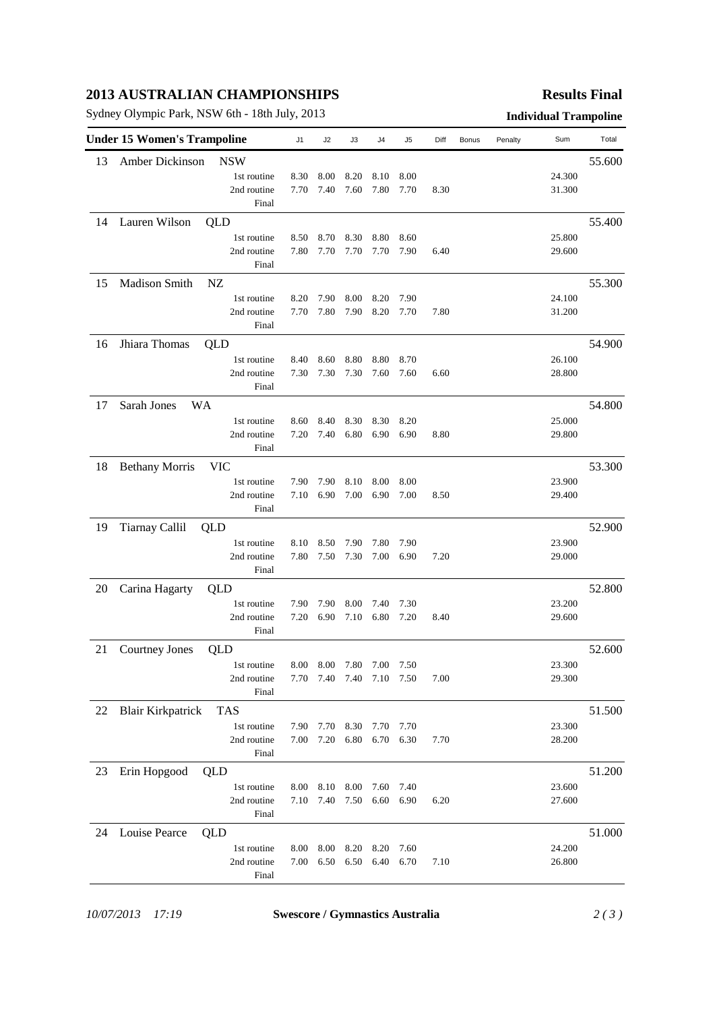# **2013 AUSTRALIAN CHAMPIONSHIPS**

Sydney Olympic Park, NSW 6th - 18th July, 2013 **Individual Trampoline**

### **Results Final**

|    | <b>Under 15 Women's Trampoline</b> |             | J1   | J2             | J3   | J4                       | J5   | Diff | Bonus | Penalty | Sum    | Total  |
|----|------------------------------------|-------------|------|----------------|------|--------------------------|------|------|-------|---------|--------|--------|
| 13 | Amber Dickinson                    | <b>NSW</b>  |      |                |      |                          |      |      |       |         |        | 55.600 |
|    |                                    | 1st routine | 8.30 | 8.00           | 8.20 | 8.10                     | 8.00 |      |       |         | 24.300 |        |
|    |                                    | 2nd routine | 7.70 | 7.40           | 7.60 | 7.80                     | 7.70 | 8.30 |       |         | 31.300 |        |
|    |                                    | Final       |      |                |      |                          |      |      |       |         |        |        |
| 14 | Lauren Wilson                      | QLD         |      |                |      |                          |      |      |       |         |        | 55.400 |
|    |                                    | 1st routine | 8.50 | 8.70           | 8.30 | 8.80                     | 8.60 |      |       |         | 25.800 |        |
|    |                                    | 2nd routine | 7.80 | 7.70           | 7.70 | 7.70                     | 7.90 | 6.40 |       |         | 29.600 |        |
|    |                                    | Final       |      |                |      |                          |      |      |       |         |        |        |
| 15 | Madison Smith                      | NZ          |      |                |      |                          |      |      |       |         |        | 55.300 |
|    |                                    | 1st routine | 8.20 | 7.90           | 8.00 | 8.20                     | 7.90 |      |       |         | 24.100 |        |
|    |                                    | 2nd routine | 7.70 | 7.80           | 7.90 | 8.20                     | 7.70 | 7.80 |       |         | 31.200 |        |
|    |                                    | Final       |      |                |      |                          |      |      |       |         |        |        |
| 16 | Jhiara Thomas                      | QLD         |      |                |      |                          |      |      |       |         |        | 54.900 |
|    |                                    | 1st routine | 8.40 | 8.60           | 8.80 | 8.80                     | 8.70 |      |       |         | 26.100 |        |
|    |                                    | 2nd routine | 7.30 | 7.30           | 7.30 | 7.60                     | 7.60 | 6.60 |       |         | 28.800 |        |
|    |                                    | Final       |      |                |      |                          |      |      |       |         |        |        |
| 17 | Sarah Jones                        | WA          |      |                |      |                          |      |      |       |         |        | 54.800 |
|    |                                    | 1st routine | 8.60 | 8.40           | 8.30 | 8.30                     | 8.20 |      |       |         | 25.000 |        |
|    |                                    | 2nd routine | 7.20 | 7.40           | 6.80 | 6.90                     | 6.90 | 8.80 |       |         | 29.800 |        |
|    |                                    | Final       |      |                |      |                          |      |      |       |         |        |        |
| 18 | <b>Bethany Morris</b>              | <b>VIC</b>  |      |                |      |                          |      |      |       |         |        | 53.300 |
|    |                                    | 1st routine | 7.90 | 7.90           | 8.10 | 8.00                     | 8.00 |      |       |         | 23.900 |        |
|    |                                    | 2nd routine | 7.10 | 6.90           | 7.00 | 6.90                     | 7.00 | 8.50 |       |         | 29.400 |        |
|    |                                    | Final       |      |                |      |                          |      |      |       |         |        |        |
| 19 | <b>Tiarnay Callil</b>              | QLD         |      |                |      |                          |      |      |       |         |        | 52.900 |
|    |                                    | 1st routine | 8.10 | 8.50           | 7.90 | 7.80                     | 7.90 |      |       |         | 23.900 |        |
|    |                                    | 2nd routine | 7.80 | 7.50           | 7.30 | 7.00                     | 6.90 | 7.20 |       |         | 29.000 |        |
|    |                                    | Final       |      |                |      |                          |      |      |       |         |        |        |
| 20 | Carina Hagarty                     | QLD         |      |                |      |                          |      |      |       |         |        | 52.800 |
|    |                                    | 1st routine | 7.90 | 7.90           | 8.00 | 7.40                     | 7.30 |      |       |         | 23.200 |        |
|    |                                    | 2nd routine | 7.20 | 6.90           | 7.10 | 6.80                     | 7.20 | 8.40 |       |         | 29.600 |        |
|    |                                    | Final       |      |                |      |                          |      |      |       |         |        |        |
| 21 | <b>Courtney Jones</b>              | QLD         |      |                |      |                          |      |      |       |         |        | 52.600 |
|    |                                    | 1st routine |      | 8.00 8.00 7.80 |      | 7.00                     | 7.50 |      |       |         | 23.300 |        |
|    |                                    | 2nd routine |      |                |      | 7.70 7.40 7.40 7.10 7.50 |      | 7.00 |       |         | 29.300 |        |
|    |                                    | Final       |      |                |      |                          |      |      |       |         |        |        |
| 22 | <b>Blair Kirkpatrick</b>           | <b>TAS</b>  |      |                |      |                          |      |      |       |         |        | 51.500 |
|    |                                    | 1st routine |      | 7.90 7.70      | 8.30 | 7.70                     | 7.70 |      |       |         | 23.300 |        |
|    |                                    | 2nd routine | 7.00 | 7.20           | 6.80 | 6.70                     | 6.30 | 7.70 |       |         | 28.200 |        |
|    |                                    | Final       |      |                |      |                          |      |      |       |         |        |        |
| 23 | Erin Hopgood                       | QLD         |      |                |      |                          |      |      |       |         |        | 51.200 |
|    |                                    | 1st routine | 8.00 | 8.10           | 8.00 | 7.60                     | 7.40 |      |       |         | 23.600 |        |
|    |                                    | 2nd routine | 7.10 | 7.40           | 7.50 | 6.60                     | 6.90 | 6.20 |       |         | 27.600 |        |
|    |                                    | Final       |      |                |      |                          |      |      |       |         |        |        |
| 24 | Louise Pearce                      | QLD         |      |                |      |                          |      |      |       |         |        | 51.000 |
|    |                                    | 1st routine | 8.00 | 8.00           | 8.20 | 8.20                     | 7.60 |      |       |         | 24.200 |        |
|    |                                    | 2nd routine | 7.00 | 6.50           | 6.50 | 6.40                     | 6.70 | 7.10 |       |         | 26.800 |        |
|    |                                    | Final       |      |                |      |                          |      |      |       |         |        |        |
|    |                                    |             |      |                |      |                          |      |      |       |         |        |        |

*10/07/2013 17:19* **Swescore / Gymnastics Australia** *2 ( 3 )*